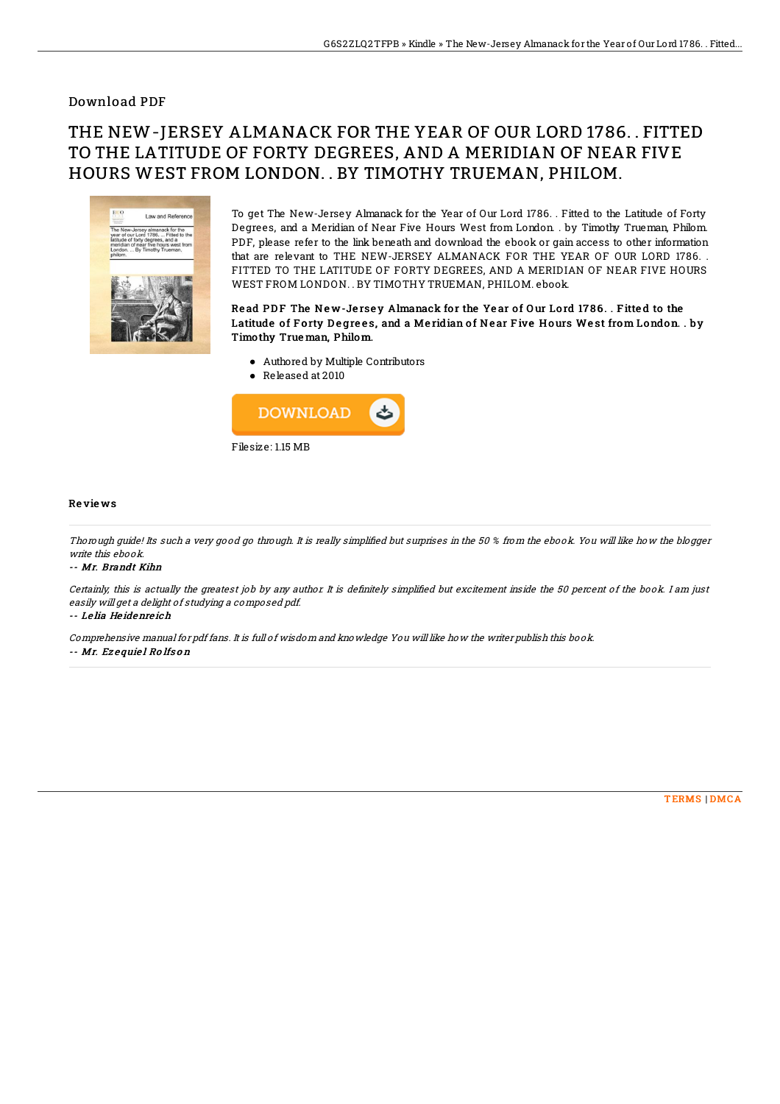### Download PDF

# THE NEW-JERSEY ALMANACK FOR THE YEAR OF OUR LORD 1786. . FITTED TO THE LATITUDE OF FORTY DEGREES, AND A MERIDIAN OF NEAR FIVE HOURS WEST FROM LONDON. . BY TIMOTHY TRUEMAN, PHILOM.



To get The New-Jersey Almanack for the Year of Our Lord 1786. . Fitted to the Latitude of Forty Degrees, and a Meridian of Near Five Hours West from London. . by Timothy Trueman, Philom. PDF, please refer to the link beneath and download the ebook or gain access to other information that are relevant to THE NEW-JERSEY ALMANACK FOR THE YEAR OF OUR LORD 1786. . FITTED TO THE LATITUDE OF FORTY DEGREES, AND A MERIDIAN OF NEAR FIVE HOURS WEST FROM LONDON. . BY TIMOTHY TRUEMAN, PHILOM. ebook.

#### Read PDF The New-Jersey Almanack for the Year of Our Lord 1786. . Fitted to the Latitude of Forty Degrees, and a Meridian of Near Five Hours West from London. . by Timo thy True man, Philom.

- Authored by Multiple Contributors
- Released at 2010



#### Re vie ws

Thorough guide! Its such a very good go through. It is really simplified but surprises in the 50 % from the ebook. You will like how the blogger write this ebook.

-- Mr. Brandt Kihn

Certainly, this is actually the greatest job by any author. It is definitely simplified but excitement inside the 50 percent of the book. I am just easily will get <sup>a</sup> delight of studying <sup>a</sup> composed pdf.

-- Le lia He idenre ich

Comprehensive manual for pdf fans. It is full of wisdom and knowledge You will like how the writer publish this book.

-- Mr. Ez <sup>e</sup> quie l Ro lfs <sup>o</sup> <sup>n</sup>